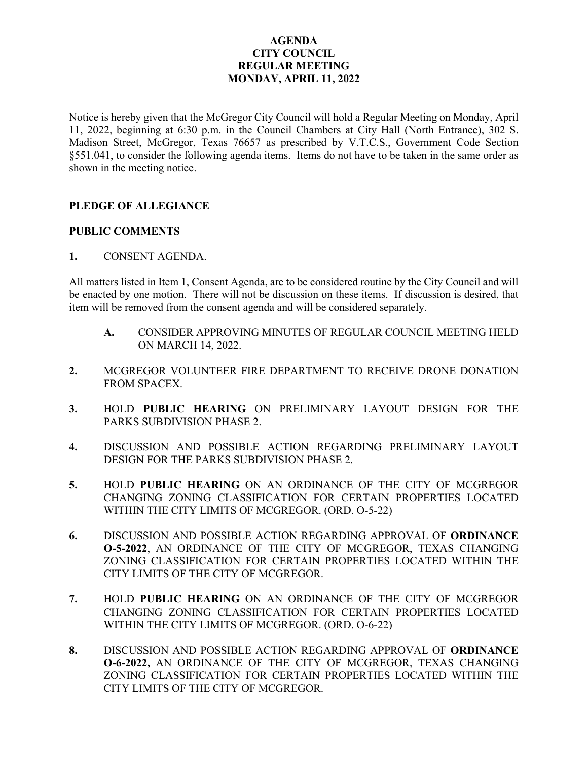# **AGENDA CITY COUNCIL REGULAR MEETING MONDAY, APRIL 11, 2022**

Notice is hereby given that the McGregor City Council will hold a Regular Meeting on Monday, April 11, 2022, beginning at 6:30 p.m. in the Council Chambers at City Hall (North Entrance), 302 S. Madison Street, McGregor, Texas 76657 as prescribed by V.T.C.S., Government Code Section §551.041, to consider the following agenda items. Items do not have to be taken in the same order as shown in the meeting notice.

### **PLEDGE OF ALLEGIANCE**

#### **PUBLIC COMMENTS**

**1.** CONSENT AGENDA.

All matters listed in Item 1, Consent Agenda, are to be considered routine by the City Council and will be enacted by one motion. There will not be discussion on these items. If discussion is desired, that item will be removed from the consent agenda and will be considered separately.

- **A.** CONSIDER APPROVING MINUTES OF REGULAR COUNCIL MEETING HELD ON MARCH 14, 2022.
- **2.** MCGREGOR VOLUNTEER FIRE DEPARTMENT TO RECEIVE DRONE DONATION FROM SPACEX.
- **3.** HOLD **PUBLIC HEARING** ON PRELIMINARY LAYOUT DESIGN FOR THE PARKS SUBDIVISION PHASE 2.
- **4.** DISCUSSION AND POSSIBLE ACTION REGARDING PRELIMINARY LAYOUT DESIGN FOR THE PARKS SUBDIVISION PHASE 2.
- **5.** HOLD **PUBLIC HEARING** ON AN ORDINANCE OF THE CITY OF MCGREGOR CHANGING ZONING CLASSIFICATION FOR CERTAIN PROPERTIES LOCATED WITHIN THE CITY LIMITS OF MCGREGOR. (ORD. O-5-22)
- **6.** DISCUSSION AND POSSIBLE ACTION REGARDING APPROVAL OF **ORDINANCE O-5-2022**, AN ORDINANCE OF THE CITY OF MCGREGOR, TEXAS CHANGING ZONING CLASSIFICATION FOR CERTAIN PROPERTIES LOCATED WITHIN THE CITY LIMITS OF THE CITY OF MCGREGOR.
- **7.** HOLD **PUBLIC HEARING** ON AN ORDINANCE OF THE CITY OF MCGREGOR CHANGING ZONING CLASSIFICATION FOR CERTAIN PROPERTIES LOCATED WITHIN THE CITY LIMITS OF MCGREGOR. (ORD. O-6-22)
- **8.** DISCUSSION AND POSSIBLE ACTION REGARDING APPROVAL OF **ORDINANCE O-6-2022,** AN ORDINANCE OF THE CITY OF MCGREGOR, TEXAS CHANGING ZONING CLASSIFICATION FOR CERTAIN PROPERTIES LOCATED WITHIN THE CITY LIMITS OF THE CITY OF MCGREGOR.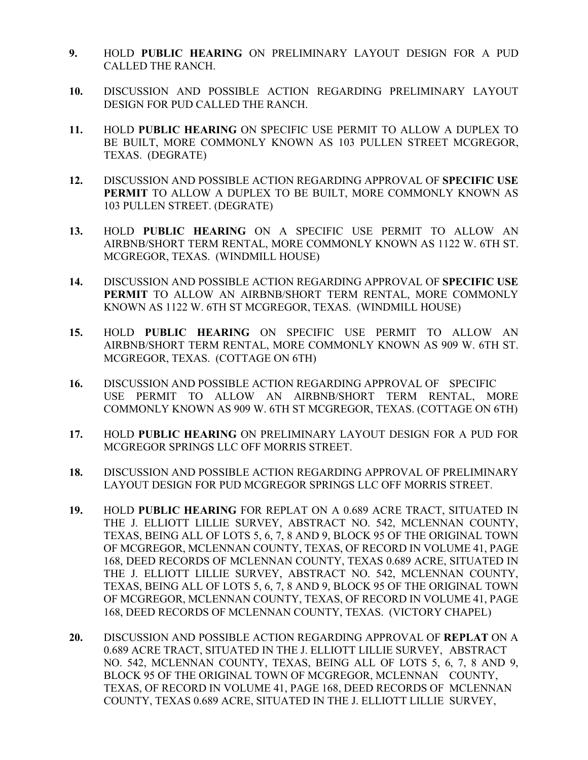- **9.** HOLD **PUBLIC HEARING** ON PRELIMINARY LAYOUT DESIGN FOR A PUD CALLED THE RANCH.
- **10.** DISCUSSION AND POSSIBLE ACTION REGARDING PRELIMINARY LAYOUT DESIGN FOR PUD CALLED THE RANCH.
- **11.** HOLD **PUBLIC HEARING** ON SPECIFIC USE PERMIT TO ALLOW A DUPLEX TO BE BUILT, MORE COMMONLY KNOWN AS 103 PULLEN STREET MCGREGOR, TEXAS. (DEGRATE)
- **12.** DISCUSSION AND POSSIBLE ACTION REGARDING APPROVAL OF **SPECIFIC USE PERMIT** TO ALLOW A DUPLEX TO BE BUILT, MORE COMMONLY KNOWN AS 103 PULLEN STREET. (DEGRATE)
- **13.** HOLD **PUBLIC HEARING** ON A SPECIFIC USE PERMIT TO ALLOW AN AIRBNB/SHORT TERM RENTAL, MORE COMMONLY KNOWN AS 1122 W. 6TH ST. MCGREGOR, TEXAS. (WINDMILL HOUSE)
- **14.** DISCUSSION AND POSSIBLE ACTION REGARDING APPROVAL OF **SPECIFIC USE PERMIT** TO ALLOW AN AIRBNB/SHORT TERM RENTAL, MORE COMMONLY KNOWN AS 1122 W. 6TH ST MCGREGOR, TEXAS. (WINDMILL HOUSE)
- **15.** HOLD **PUBLIC HEARING** ON SPECIFIC USE PERMIT TO ALLOW AN AIRBNB/SHORT TERM RENTAL, MORE COMMONLY KNOWN AS 909 W. 6TH ST. MCGREGOR, TEXAS. (COTTAGE ON 6TH)
- **16.** DISCUSSION AND POSSIBLE ACTION REGARDING APPROVAL OF SPECIFIC USE PERMIT TO ALLOW AN AIRBNB/SHORT TERM RENTAL, MORE COMMONLY KNOWN AS 909 W. 6TH ST MCGREGOR, TEXAS. (COTTAGE ON 6TH)
- **17.** HOLD **PUBLIC HEARING** ON PRELIMINARY LAYOUT DESIGN FOR A PUD FOR MCGREGOR SPRINGS LLC OFF MORRIS STREET.
- **18.** DISCUSSION AND POSSIBLE ACTION REGARDING APPROVAL OF PRELIMINARY LAYOUT DESIGN FOR PUD MCGREGOR SPRINGS LLC OFF MORRIS STREET.
- **19.** HOLD **PUBLIC HEARING** FOR REPLAT ON A 0.689 ACRE TRACT, SITUATED IN THE J. ELLIOTT LILLIE SURVEY, ABSTRACT NO. 542, MCLENNAN COUNTY, TEXAS, BEING ALL OF LOTS 5, 6, 7, 8 AND 9, BLOCK 95 OF THE ORIGINAL TOWN OF MCGREGOR, MCLENNAN COUNTY, TEXAS, OF RECORD IN VOLUME 41, PAGE 168, DEED RECORDS OF MCLENNAN COUNTY, TEXAS 0.689 ACRE, SITUATED IN THE J. ELLIOTT LILLIE SURVEY, ABSTRACT NO. 542, MCLENNAN COUNTY, TEXAS, BEING ALL OF LOTS 5, 6, 7, 8 AND 9, BLOCK 95 OF THE ORIGINAL TOWN OF MCGREGOR, MCLENNAN COUNTY, TEXAS, OF RECORD IN VOLUME 41, PAGE 168, DEED RECORDS OF MCLENNAN COUNTY, TEXAS. (VICTORY CHAPEL)
- **20.** DISCUSSION AND POSSIBLE ACTION REGARDING APPROVAL OF **REPLAT** ON A 0.689 ACRE TRACT, SITUATED IN THE J. ELLIOTT LILLIE SURVEY, ABSTRACT NO. 542, MCLENNAN COUNTY, TEXAS, BEING ALL OF LOTS 5, 6, 7, 8 AND 9, BLOCK 95 OF THE ORIGINAL TOWN OF MCGREGOR, MCLENNAN COUNTY, TEXAS, OF RECORD IN VOLUME 41, PAGE 168, DEED RECORDS OF MCLENNAN COUNTY, TEXAS 0.689 ACRE, SITUATED IN THE J. ELLIOTT LILLIE SURVEY,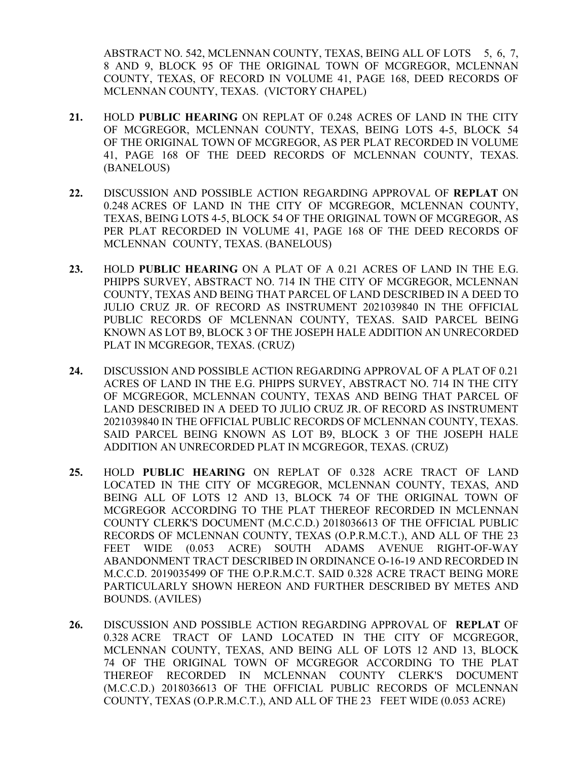ABSTRACT NO. 542, MCLENNAN COUNTY, TEXAS, BEING ALL OF LOTS 5, 6, 7, 8 AND 9, BLOCK 95 OF THE ORIGINAL TOWN OF MCGREGOR, MCLENNAN COUNTY, TEXAS, OF RECORD IN VOLUME 41, PAGE 168, DEED RECORDS OF MCLENNAN COUNTY, TEXAS. (VICTORY CHAPEL)

- **21.** HOLD **PUBLIC HEARING** ON REPLAT OF 0.248 ACRES OF LAND IN THE CITY OF MCGREGOR, MCLENNAN COUNTY, TEXAS, BEING LOTS 4-5, BLOCK 54 OF THE ORIGINAL TOWN OF MCGREGOR, AS PER PLAT RECORDED IN VOLUME 41, PAGE 168 OF THE DEED RECORDS OF MCLENNAN COUNTY, TEXAS. (BANELOUS)
- **22.** DISCUSSION AND POSSIBLE ACTION REGARDING APPROVAL OF **REPLAT** ON 0.248 ACRES OF LAND IN THE CITY OF MCGREGOR, MCLENNAN COUNTY, TEXAS, BEING LOTS 4-5, BLOCK 54 OF THE ORIGINAL TOWN OF MCGREGOR, AS PER PLAT RECORDED IN VOLUME 41, PAGE 168 OF THE DEED RECORDS OF MCLENNAN COUNTY, TEXAS. (BANELOUS)
- **23.** HOLD **PUBLIC HEARING** ON A PLAT OF A 0.21 ACRES OF LAND IN THE E.G. PHIPPS SURVEY, ABSTRACT NO. 714 IN THE CITY OF MCGREGOR, MCLENNAN COUNTY, TEXAS AND BEING THAT PARCEL OF LAND DESCRIBED IN A DEED TO JULIO CRUZ JR. OF RECORD AS INSTRUMENT 2021039840 IN THE OFFICIAL PUBLIC RECORDS OF MCLENNAN COUNTY, TEXAS. SAID PARCEL BEING KNOWN AS LOT B9, BLOCK 3 OF THE JOSEPH HALE ADDITION AN UNRECORDED PLAT IN MCGREGOR, TEXAS. (CRUZ)
- **24.** DISCUSSION AND POSSIBLE ACTION REGARDING APPROVAL OF A PLAT OF 0.21 ACRES OF LAND IN THE E.G. PHIPPS SURVEY, ABSTRACT NO. 714 IN THE CITY OF MCGREGOR, MCLENNAN COUNTY, TEXAS AND BEING THAT PARCEL OF LAND DESCRIBED IN A DEED TO JULIO CRUZ JR. OF RECORD AS INSTRUMENT 2021039840 IN THE OFFICIAL PUBLIC RECORDS OF MCLENNAN COUNTY, TEXAS. SAID PARCEL BEING KNOWN AS LOT B9, BLOCK 3 OF THE JOSEPH HALE ADDITION AN UNRECORDED PLAT IN MCGREGOR, TEXAS. (CRUZ)
- **25.** HOLD **PUBLIC HEARING** ON REPLAT OF 0.328 ACRE TRACT OF LAND LOCATED IN THE CITY OF MCGREGOR, MCLENNAN COUNTY, TEXAS, AND BEING ALL OF LOTS 12 AND 13, BLOCK 74 OF THE ORIGINAL TOWN OF MCGREGOR ACCORDING TO THE PLAT THEREOF RECORDED IN MCLENNAN COUNTY CLERK'S DOCUMENT (M.C.C.D.) 2018036613 OF THE OFFICIAL PUBLIC RECORDS OF MCLENNAN COUNTY, TEXAS (O.P.R.M.C.T.), AND ALL OF THE 23 FEET WIDE (0.053 ACRE) SOUTH ADAMS AVENUE RIGHT-OF-WAY ABANDONMENT TRACT DESCRIBED IN ORDINANCE O-16-19 AND RECORDED IN M.C.C.D. 2019035499 OF THE O.P.R.M.C.T. SAID 0.328 ACRE TRACT BEING MORE PARTICULARLY SHOWN HEREON AND FURTHER DESCRIBED BY METES AND BOUNDS. (AVILES)
- **26.** DISCUSSION AND POSSIBLE ACTION REGARDING APPROVAL OF **REPLAT** OF 0.328 ACRE TRACT OF LAND LOCATED IN THE CITY OF MCGREGOR, MCLENNAN COUNTY, TEXAS, AND BEING ALL OF LOTS 12 AND 13, BLOCK 74 OF THE ORIGINAL TOWN OF MCGREGOR ACCORDING TO THE PLAT THEREOF RECORDED IN MCLENNAN COUNTY CLERK'S DOCUMENT (M.C.C.D.) 2018036613 OF THE OFFICIAL PUBLIC RECORDS OF MCLENNAN COUNTY, TEXAS (O.P.R.M.C.T.), AND ALL OF THE 23 FEET WIDE (0.053 ACRE)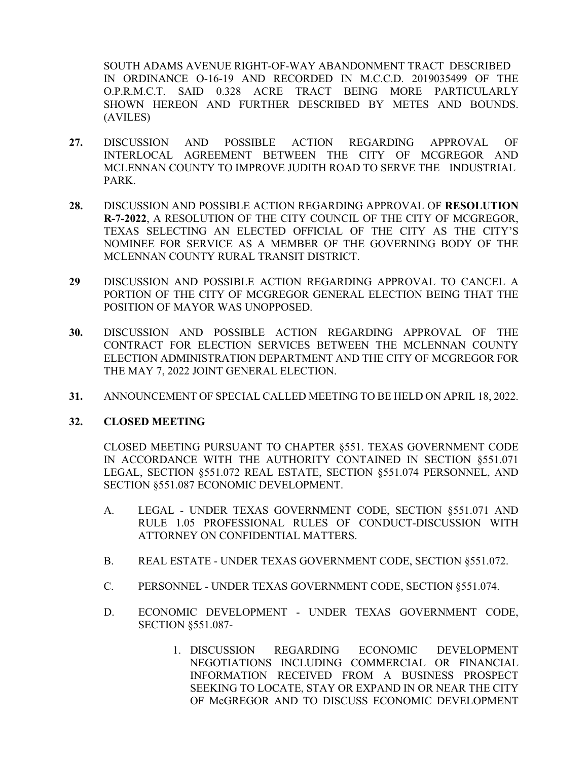SOUTH ADAMS AVENUE RIGHT-OF-WAY ABANDONMENT TRACT DESCRIBED IN ORDINANCE O-16-19 AND RECORDED IN M.C.C.D. 2019035499 OF THE O.P.R.M.C.T. SAID 0.328 ACRE TRACT BEING MORE PARTICULARLY SHOWN HEREON AND FURTHER DESCRIBED BY METES AND BOUNDS. (AVILES)

- **27.** DISCUSSION AND POSSIBLE ACTION REGARDING APPROVAL OF INTERLOCAL AGREEMENT BETWEEN THE CITY OF MCGREGOR AND MCLENNAN COUNTY TO IMPROVE JUDITH ROAD TO SERVE THE INDUSTRIAL PARK.
- **28.** DISCUSSION AND POSSIBLE ACTION REGARDING APPROVAL OF **RESOLUTION R-7-2022**, A RESOLUTION OF THE CITY COUNCIL OF THE CITY OF MCGREGOR, TEXAS SELECTING AN ELECTED OFFICIAL OF THE CITY AS THE CITY'S NOMINEE FOR SERVICE AS A MEMBER OF THE GOVERNING BODY OF THE MCLENNAN COUNTY RURAL TRANSIT DISTRICT.
- **29** DISCUSSION AND POSSIBLE ACTION REGARDING APPROVAL TO CANCEL A PORTION OF THE CITY OF MCGREGOR GENERAL ELECTION BEING THAT THE POSITION OF MAYOR WAS UNOPPOSED.
- **30.** DISCUSSION AND POSSIBLE ACTION REGARDING APPROVAL OF THE CONTRACT FOR ELECTION SERVICES BETWEEN THE MCLENNAN COUNTY ELECTION ADMINISTRATION DEPARTMENT AND THE CITY OF MCGREGOR FOR THE MAY 7, 2022 JOINT GENERAL ELECTION.
- **31.** ANNOUNCEMENT OF SPECIAL CALLED MEETING TO BE HELD ON APRIL 18, 2022.

### **32. CLOSED MEETING**

CLOSED MEETING PURSUANT TO CHAPTER §551. TEXAS GOVERNMENT CODE IN ACCORDANCE WITH THE AUTHORITY CONTAINED IN SECTION §551.071 LEGAL, SECTION §551.072 REAL ESTATE, SECTION §551.074 PERSONNEL, AND SECTION §551.087 ECONOMIC DEVELOPMENT.

- A. LEGAL UNDER TEXAS GOVERNMENT CODE, SECTION §551.071 AND RULE 1.05 PROFESSIONAL RULES OF CONDUCT-DISCUSSION WITH ATTORNEY ON CONFIDENTIAL MATTERS.
- B. REAL ESTATE UNDER TEXAS GOVERNMENT CODE, SECTION §551.072.
- C. PERSONNEL UNDER TEXAS GOVERNMENT CODE, SECTION §551.074.
- D. ECONOMIC DEVELOPMENT UNDER TEXAS GOVERNMENT CODE, SECTION §551.087-
	- 1. DISCUSSION REGARDING ECONOMIC DEVELOPMENT NEGOTIATIONS INCLUDING COMMERCIAL OR FINANCIAL INFORMATION RECEIVED FROM A BUSINESS PROSPECT SEEKING TO LOCATE, STAY OR EXPAND IN OR NEAR THE CITY OF McGREGOR AND TO DISCUSS ECONOMIC DEVELOPMENT